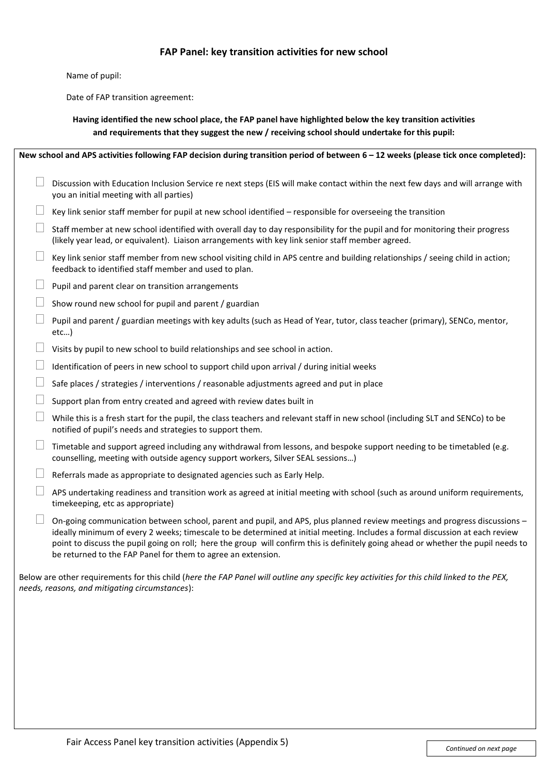## **FAP Panel: key transition activities for new school**

Name of pupil:

Date of FAP transition agreement:

**Having identified the new school place, the FAP panel have highlighted below the key transition activities and requirements that they suggest the new / receiving school should undertake for this pupil:**

| New school and APS activities following FAP decision during transition period of between 6 - 12 weeks (please tick once completed):                                                          |                                                                                                                                                                                                                                                                                                                                                                                                                                                                 |
|----------------------------------------------------------------------------------------------------------------------------------------------------------------------------------------------|-----------------------------------------------------------------------------------------------------------------------------------------------------------------------------------------------------------------------------------------------------------------------------------------------------------------------------------------------------------------------------------------------------------------------------------------------------------------|
|                                                                                                                                                                                              | Discussion with Education Inclusion Service re next steps (EIS will make contact within the next few days and will arrange with<br>you an initial meeting with all parties)                                                                                                                                                                                                                                                                                     |
|                                                                                                                                                                                              | Key link senior staff member for pupil at new school identified - responsible for overseeing the transition                                                                                                                                                                                                                                                                                                                                                     |
|                                                                                                                                                                                              | Staff member at new school identified with overall day to day responsibility for the pupil and for monitoring their progress<br>(likely year lead, or equivalent). Liaison arrangements with key link senior staff member agreed.                                                                                                                                                                                                                               |
|                                                                                                                                                                                              | Key link senior staff member from new school visiting child in APS centre and building relationships / seeing child in action;<br>feedback to identified staff member and used to plan.                                                                                                                                                                                                                                                                         |
|                                                                                                                                                                                              | Pupil and parent clear on transition arrangements                                                                                                                                                                                                                                                                                                                                                                                                               |
|                                                                                                                                                                                              | Show round new school for pupil and parent / guardian                                                                                                                                                                                                                                                                                                                                                                                                           |
|                                                                                                                                                                                              | Pupil and parent / guardian meetings with key adults (such as Head of Year, tutor, class teacher (primary), SENCo, mentor,<br>$etc$ )                                                                                                                                                                                                                                                                                                                           |
| Ш                                                                                                                                                                                            | Visits by pupil to new school to build relationships and see school in action.                                                                                                                                                                                                                                                                                                                                                                                  |
|                                                                                                                                                                                              | Identification of peers in new school to support child upon arrival / during initial weeks                                                                                                                                                                                                                                                                                                                                                                      |
|                                                                                                                                                                                              | Safe places / strategies / interventions / reasonable adjustments agreed and put in place                                                                                                                                                                                                                                                                                                                                                                       |
|                                                                                                                                                                                              | Support plan from entry created and agreed with review dates built in                                                                                                                                                                                                                                                                                                                                                                                           |
|                                                                                                                                                                                              | While this is a fresh start for the pupil, the class teachers and relevant staff in new school (including SLT and SENCo) to be<br>notified of pupil's needs and strategies to support them.                                                                                                                                                                                                                                                                     |
|                                                                                                                                                                                              | Timetable and support agreed including any withdrawal from lessons, and bespoke support needing to be timetabled (e.g.<br>counselling, meeting with outside agency support workers, Silver SEAL sessions)                                                                                                                                                                                                                                                       |
|                                                                                                                                                                                              | Referrals made as appropriate to designated agencies such as Early Help.                                                                                                                                                                                                                                                                                                                                                                                        |
| $\Box$                                                                                                                                                                                       | APS undertaking readiness and transition work as agreed at initial meeting with school (such as around uniform requirements,<br>timekeeping, etc as appropriate)                                                                                                                                                                                                                                                                                                |
|                                                                                                                                                                                              | On-going communication between school, parent and pupil, and APS, plus planned review meetings and progress discussions -<br>ideally minimum of every 2 weeks; timescale to be determined at initial meeting. Includes a formal discussion at each review<br>point to discuss the pupil going on roll; here the group will confirm this is definitely going ahead or whether the pupil needs to<br>be returned to the FAP Panel for them to agree an extension. |
| Below are other requirements for this child (here the FAP Panel will outline any specific key activities for this child linked to the PEX,<br>needs, reasons, and mitigating circumstances): |                                                                                                                                                                                                                                                                                                                                                                                                                                                                 |
|                                                                                                                                                                                              |                                                                                                                                                                                                                                                                                                                                                                                                                                                                 |